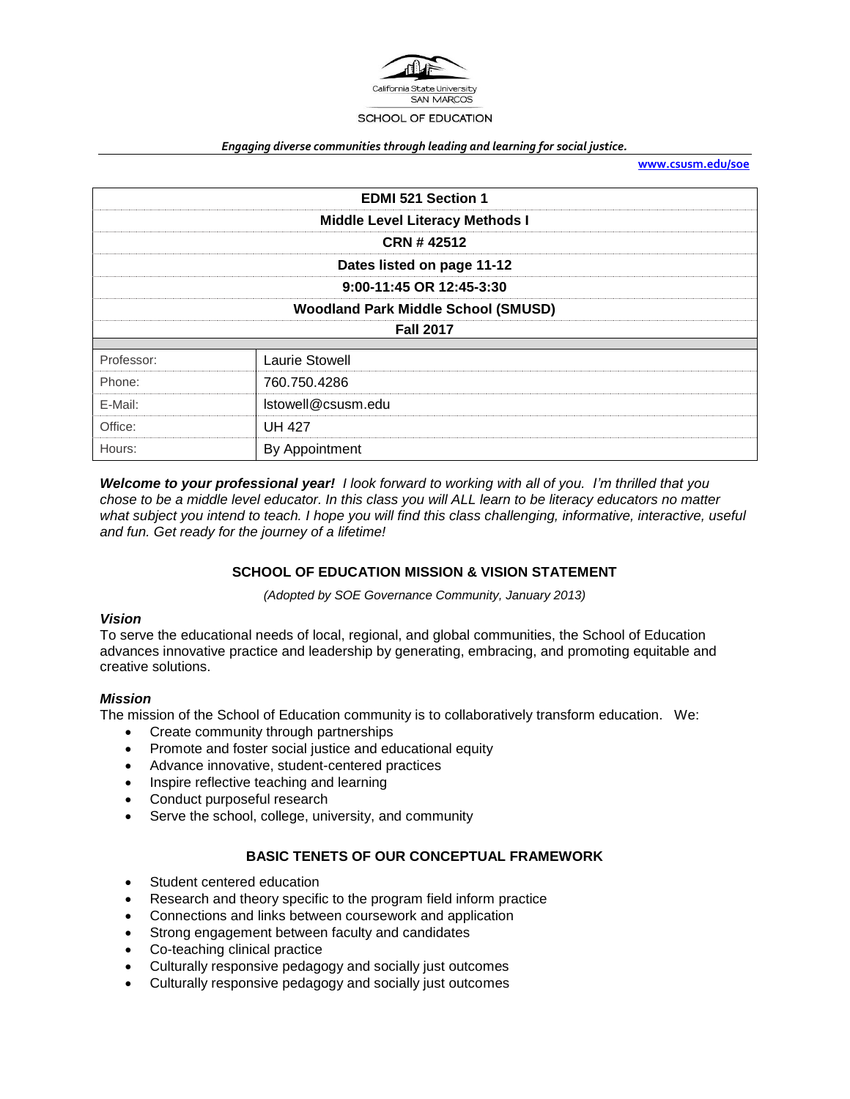

#### *Engaging diverse communities through leading and learning for social justice.*

**[www.csusm.edu/soe](http://www.csusm.edu/soe)**

|                                            | <b>EDMI 521 Section 1</b>              |  |  |
|--------------------------------------------|----------------------------------------|--|--|
|                                            | <b>Middle Level Literacy Methods I</b> |  |  |
|                                            | <b>CRN #42512</b>                      |  |  |
|                                            | Dates listed on page 11-12             |  |  |
|                                            | 9:00-11:45 OR 12:45-3:30               |  |  |
| <b>Woodland Park Middle School (SMUSD)</b> |                                        |  |  |
| <b>Fall 2017</b>                           |                                        |  |  |
| Professor:                                 | <b>Laurie Stowell</b>                  |  |  |
| Phone:                                     | 760.750.4286                           |  |  |
| E-Mail:                                    | Istowell@csusm.edu                     |  |  |
| Office:                                    | <b>UH 427</b>                          |  |  |
| Hours:                                     | By Appointment                         |  |  |

*Welcome to your professional year! I look forward to working with all of you. I'm thrilled that you chose to be a middle level educator. In this class you will ALL learn to be literacy educators no matter what subject you intend to teach. I hope you will find this class challenging, informative, interactive, useful and fun. Get ready for the journey of a lifetime!* 

#### **SCHOOL OF EDUCATION MISSION & VISION STATEMENT**

*(Adopted by SOE Governance Community, January 2013)*

#### *Vision*

To serve the educational needs of local, regional, and global communities, the School of Education advances innovative practice and leadership by generating, embracing, and promoting equitable and creative solutions.

#### *Mission*

The mission of the School of Education community is to collaboratively transform education. We:

- Create community through partnerships
- Promote and foster social justice and educational equity
- Advance innovative, student-centered practices
- Inspire reflective teaching and learning
- Conduct purposeful research
- Serve the school, college, university, and community

#### **BASIC TENETS OF OUR CONCEPTUAL FRAMEWORK**

- Student centered education
- Research and theory specific to the program field inform practice
- Connections and links between coursework and application
- Strong engagement between faculty and candidates
- Co-teaching clinical practice
- Culturally responsive pedagogy and socially just outcomes
- Culturally responsive pedagogy and socially just outcomes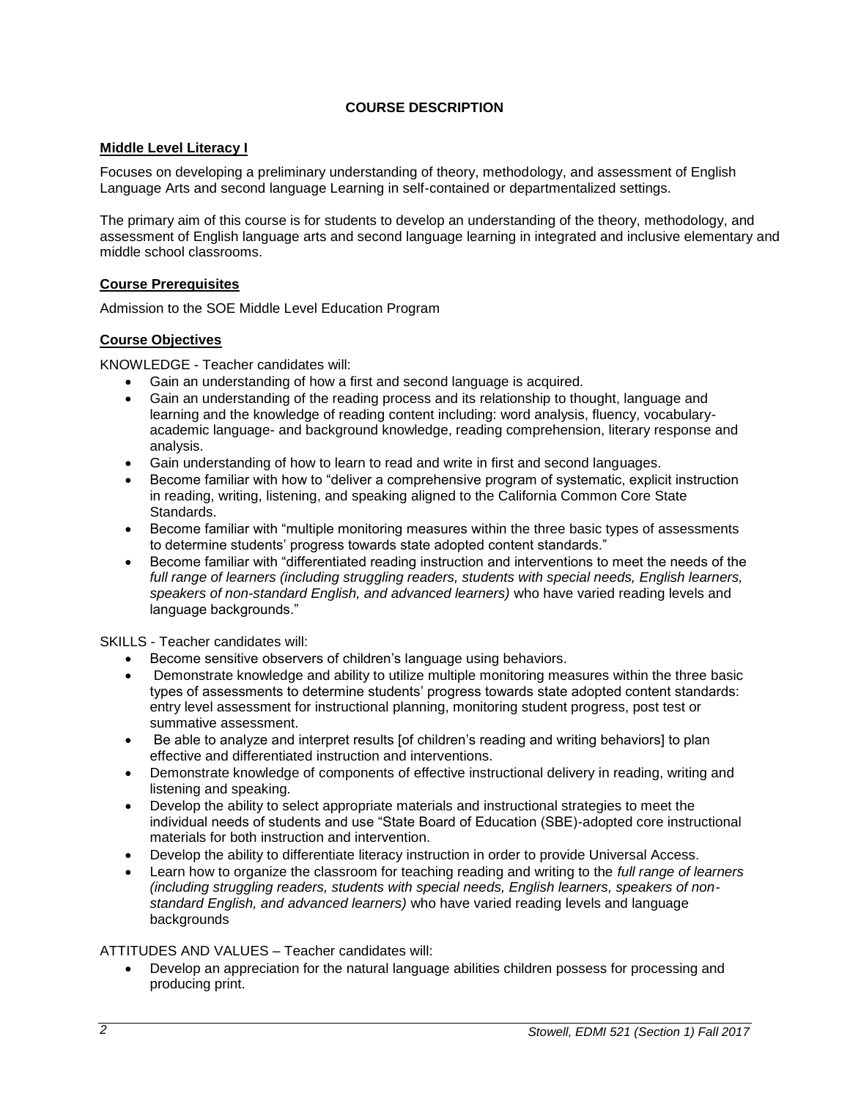# **COURSE DESCRIPTION**

# **Middle Level Literacy I**

Focuses on developing a preliminary understanding of theory, methodology, and assessment of English Language Arts and second language Learning in self-contained or departmentalized settings.

The primary aim of this course is for students to develop an understanding of the theory, methodology, and assessment of English language arts and second language learning in integrated and inclusive elementary and middle school classrooms.

# **Course Prerequisites**

Admission to the SOE Middle Level Education Program

# **Course Objectives**

KNOWLEDGE - Teacher candidates will:

- Gain an understanding of how a first and second language is acquired.
- Gain an understanding of the reading process and its relationship to thought, language and learning and the knowledge of reading content including: word analysis, fluency, vocabularyacademic language- and background knowledge, reading comprehension, literary response and analysis.
- Gain understanding of how to learn to read and write in first and second languages.
- Become familiar with how to "deliver a comprehensive program of systematic, explicit instruction in reading, writing, listening, and speaking aligned to the California Common Core State Standards.
- Become familiar with "multiple monitoring measures within the three basic types of assessments to determine students' progress towards state adopted content standards."
- Become familiar with "differentiated reading instruction and interventions to meet the needs of the *full range of learners (including struggling readers, students with special needs, English learners, speakers of non-standard English, and advanced learners)* who have varied reading levels and language backgrounds."

SKILLS - Teacher candidates will:

- Become sensitive observers of children's language using behaviors.
- Demonstrate knowledge and ability to utilize multiple monitoring measures within the three basic types of assessments to determine students' progress towards state adopted content standards: entry level assessment for instructional planning, monitoring student progress, post test or summative assessment.
- Be able to analyze and interpret results [of children's reading and writing behaviors] to plan effective and differentiated instruction and interventions.
- Demonstrate knowledge of components of effective instructional delivery in reading, writing and listening and speaking.
- Develop the ability to select appropriate materials and instructional strategies to meet the individual needs of students and use "State Board of Education (SBE)-adopted core instructional materials for both instruction and intervention.
- Develop the ability to differentiate literacy instruction in order to provide Universal Access.
- Learn how to organize the classroom for teaching reading and writing to the *full range of learners (including struggling readers, students with special needs, English learners, speakers of nonstandard English, and advanced learners)* who have varied reading levels and language backgrounds

### ATTITUDES AND VALUES – Teacher candidates will:

 Develop an appreciation for the natural language abilities children possess for processing and producing print.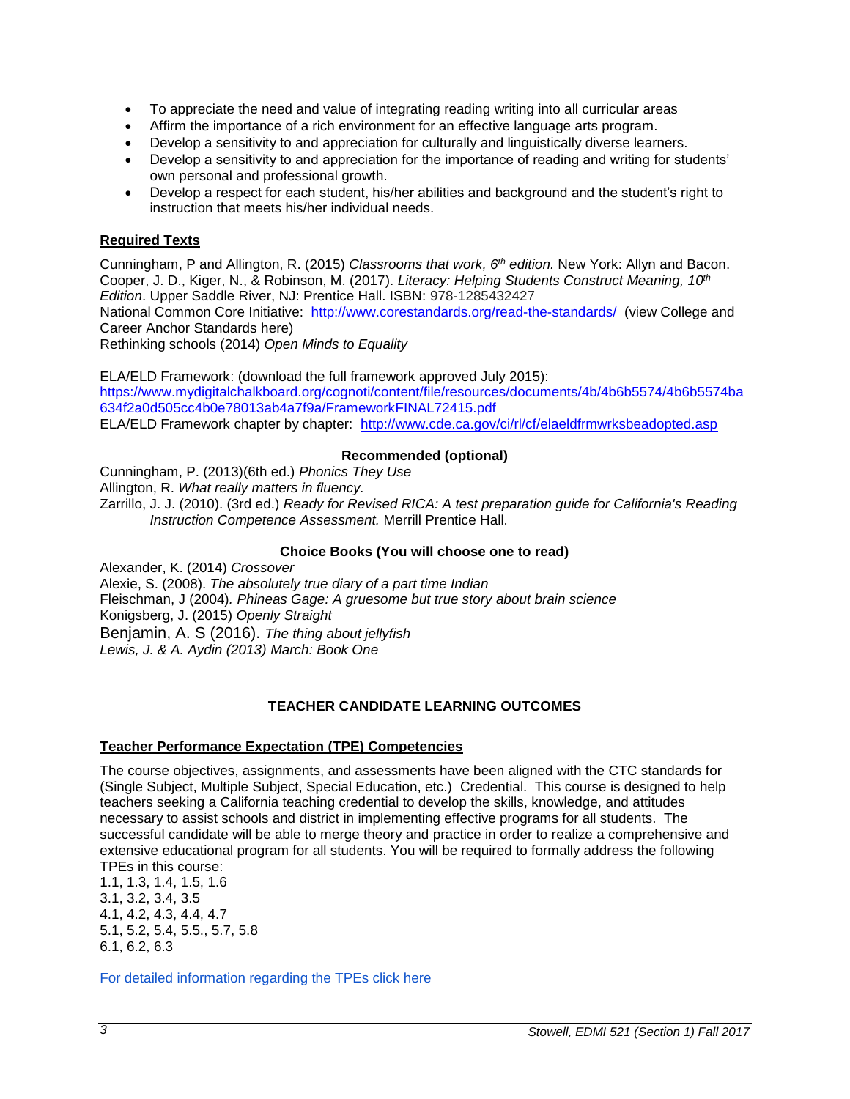- To appreciate the need and value of integrating reading writing into all curricular areas
- Affirm the importance of a rich environment for an effective language arts program.
- Develop a sensitivity to and appreciation for culturally and linguistically diverse learners.
- Develop a sensitivity to and appreciation for the importance of reading and writing for students' own personal and professional growth.
- Develop a respect for each student, his/her abilities and background and the student's right to instruction that meets his/her individual needs.

### **Required Texts**

Cunningham, P and Allington, R. (2015) *Classrooms that work, 6th edition.* New York: Allyn and Bacon. Cooper, J. D., Kiger, N., & Robinson, M. (2017). *Literacy: Helping Students Construct Meaning, 10th Edition*. Upper Saddle River, NJ: Prentice Hall. ISBN: 978-1285432427 National Common Core Initiative: <http://www.corestandards.org/read-the-standards/>(view College and Career Anchor Standards here) Rethinking schools (2014) *Open Minds to Equality*

ELA/ELD Framework: (download the full framework approved July 2015): [https://www.mydigitalchalkboard.org/cognoti/content/file/resources/documents/4b/4b6b5574/4b6b5574ba](https://www.mydigitalchalkboard.org/cognoti/content/file/resources/documents/4b/4b6b5574/4b6b5574ba634f2a0d505cc4b0e78013ab4a7f9a/FrameworkFINAL72415.pdf) [634f2a0d505cc4b0e78013ab4a7f9a/FrameworkFINAL72415.pdf](https://www.mydigitalchalkboard.org/cognoti/content/file/resources/documents/4b/4b6b5574/4b6b5574ba634f2a0d505cc4b0e78013ab4a7f9a/FrameworkFINAL72415.pdf) ELA/ELD Framework chapter by chapter: <http://www.cde.ca.gov/ci/rl/cf/elaeldfrmwrksbeadopted.asp>

#### **Recommended (optional)**

Cunningham, P. (2013)(6th ed.) *Phonics They Use*

Allington, R. *What really matters in fluency.*

Zarrillo, J. J. (2010). (3rd ed.) *Ready for Revised RICA: A test preparation guide for California's Reading Instruction Competence Assessment.* Merrill Prentice Hall.

#### **Choice Books (You will choose one to read)**

Alexander, K. (2014) *Crossover* Alexie, S. (2008). *The absolutely true diary of a part time Indian* Fleischman, J (2004)*. Phineas Gage: A gruesome but true story about brain science* Konigsberg, J. (2015) *Openly Straight* Benjamin, A. S (2016). *The thing about jellyfish Lewis, J. & A. Aydin (2013) March: Book One*

### **TEACHER CANDIDATE LEARNING OUTCOMES**

#### **Teacher Performance Expectation (TPE) Competencies**

The course objectives, assignments, and assessments have been aligned with the CTC standards for (Single Subject, Multiple Subject, Special Education, etc.) Credential. This course is designed to help teachers seeking a California teaching credential to develop the skills, knowledge, and attitudes necessary to assist schools and district in implementing effective programs for all students. The successful candidate will be able to merge theory and practice in order to realize a comprehensive and extensive educational program for all students. You will be required to formally address the following TPEs in this course:

1.1, 1.3, 1.4, 1.5, 1.6 3.1, 3.2, 3.4, 3.5 4.1, 4.2, 4.3, 4.4, 4.7 5.1, 5.2, 5.4, 5.5., 5.7, 5.8 6.1, 6.2, 6.3

[For detailed information regarding the TPEs click here](https://www.ctc.ca.gov/docs/default-source/educator-prep/standards/adopted-tpes-2016.pdf)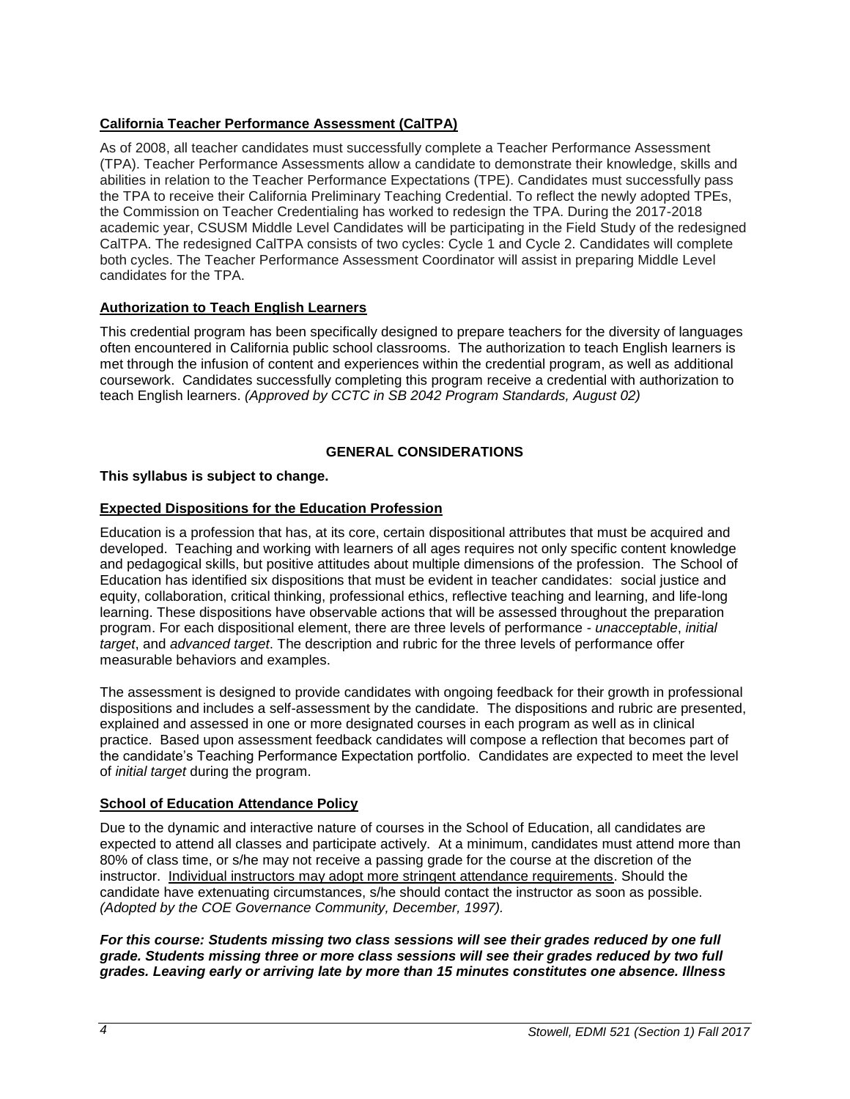# **California Teacher Performance Assessment (CalTPA)**

As of 2008, all teacher candidates must successfully complete a Teacher Performance Assessment (TPA). Teacher Performance Assessments allow a candidate to demonstrate their knowledge, skills and abilities in relation to the Teacher Performance Expectations (TPE). Candidates must successfully pass the TPA to receive their California Preliminary Teaching Credential. To reflect the newly adopted TPEs, the Commission on Teacher Credentialing has worked to redesign the TPA. During the 2017-2018 academic year, CSUSM Middle Level Candidates will be participating in the Field Study of the redesigned CalTPA. The redesigned CalTPA consists of two cycles: Cycle 1 and Cycle 2. Candidates will complete both cycles. The Teacher Performance Assessment Coordinator will assist in preparing Middle Level candidates for the TPA.

### **Authorization to Teach English Learners**

This credential program has been specifically designed to prepare teachers for the diversity of languages often encountered in California public school classrooms. The authorization to teach English learners is met through the infusion of content and experiences within the credential program, as well as additional coursework. Candidates successfully completing this program receive a credential with authorization to teach English learners. *(Approved by CCTC in SB 2042 Program Standards, August 02)*

# **GENERAL CONSIDERATIONS**

# **This syllabus is subject to change.**

# **Expected Dispositions for the Education Profession**

Education is a profession that has, at its core, certain dispositional attributes that must be acquired and developed. Teaching and working with learners of all ages requires not only specific content knowledge and pedagogical skills, but positive attitudes about multiple dimensions of the profession. The School of Education has identified six dispositions that must be evident in teacher candidates: social justice and equity, collaboration, critical thinking, professional ethics, reflective teaching and learning, and life-long learning. These dispositions have observable actions that will be assessed throughout the preparation program. For each dispositional element, there are three levels of performance - *unacceptable*, *initial target*, and *advanced target*. The description and rubric for the three levels of performance offer measurable behaviors and examples.

The assessment is designed to provide candidates with ongoing feedback for their growth in professional dispositions and includes a self-assessment by the candidate. The dispositions and rubric are presented, explained and assessed in one or more designated courses in each program as well as in clinical practice. Based upon assessment feedback candidates will compose a reflection that becomes part of the candidate's Teaching Performance Expectation portfolio. Candidates are expected to meet the level of *initial target* during the program.

### **School of Education Attendance Policy**

Due to the dynamic and interactive nature of courses in the School of Education, all candidates are expected to attend all classes and participate actively. At a minimum, candidates must attend more than 80% of class time, or s/he may not receive a passing grade for the course at the discretion of the instructor. Individual instructors may adopt more stringent attendance requirements. Should the candidate have extenuating circumstances, s/he should contact the instructor as soon as possible. *(Adopted by the COE Governance Community, December, 1997).*

*For this course: Students missing two class sessions will see their grades reduced by one full grade. Students missing three or more class sessions will see their grades reduced by two full grades. Leaving early or arriving late by more than 15 minutes constitutes one absence. Illness*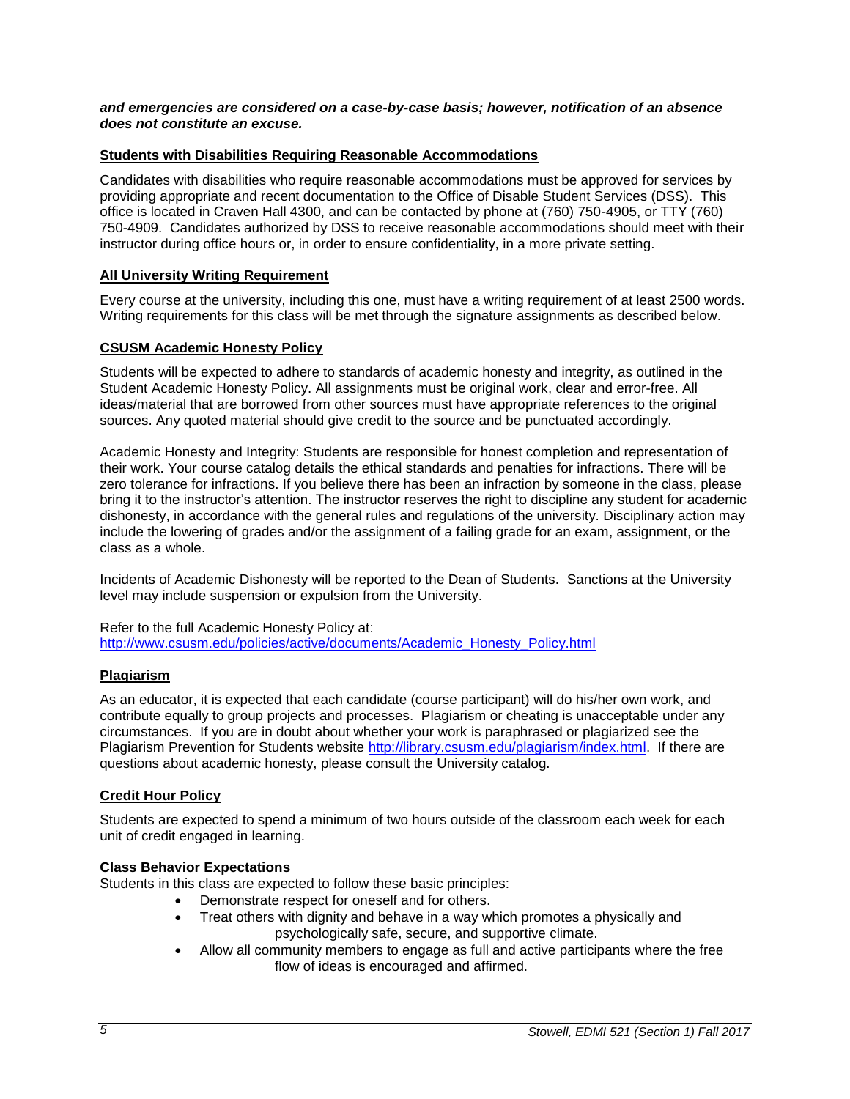#### *and emergencies are considered on a case-by-case basis; however, notification of an absence does not constitute an excuse.*

#### **Students with Disabilities Requiring Reasonable Accommodations**

Candidates with disabilities who require reasonable accommodations must be approved for services by providing appropriate and recent documentation to the Office of Disable Student Services (DSS). This office is located in Craven Hall 4300, and can be contacted by phone at (760) 750-4905, or TTY (760) 750-4909. Candidates authorized by DSS to receive reasonable accommodations should meet with their instructor during office hours or, in order to ensure confidentiality, in a more private setting.

#### **All University Writing Requirement**

Every course at the university, including this one, must have a writing requirement of at least 2500 words. Writing requirements for this class will be met through the signature assignments as described below.

#### **CSUSM Academic Honesty Policy**

Students will be expected to adhere to standards of academic honesty and integrity, as outlined in the Student Academic Honesty Policy. All assignments must be original work, clear and error-free. All ideas/material that are borrowed from other sources must have appropriate references to the original sources. Any quoted material should give credit to the source and be punctuated accordingly.

Academic Honesty and Integrity: Students are responsible for honest completion and representation of their work. Your course catalog details the ethical standards and penalties for infractions. There will be zero tolerance for infractions. If you believe there has been an infraction by someone in the class, please bring it to the instructor's attention. The instructor reserves the right to discipline any student for academic dishonesty, in accordance with the general rules and regulations of the university. Disciplinary action may include the lowering of grades and/or the assignment of a failing grade for an exam, assignment, or the class as a whole.

Incidents of Academic Dishonesty will be reported to the Dean of Students. Sanctions at the University level may include suspension or expulsion from the University.

Refer to the full Academic Honesty Policy at: [http://www.csusm.edu/policies/active/documents/Academic\\_Honesty\\_Policy.html](http://www.csusm.edu/policies/active/documents/Academic_Honesty_Policy.html)

#### **Plagiarism**

As an educator, it is expected that each candidate (course participant) will do his/her own work, and contribute equally to group projects and processes. Plagiarism or cheating is unacceptable under any circumstances. If you are in doubt about whether your work is paraphrased or plagiarized see the Plagiarism Prevention for Students website [http://library.csusm.edu/plagiarism/index.html.](http://library.csusm.edu/plagiarism/index.html) If there are questions about academic honesty, please consult the University catalog.

#### **Credit Hour Policy**

Students are expected to spend a minimum of two hours outside of the classroom each week for each unit of credit engaged in learning.

#### **Class Behavior Expectations**

Students in this class are expected to follow these basic principles:

- Demonstrate respect for oneself and for others.
- Treat others with dignity and behave in a way which promotes a physically and psychologically safe, secure, and supportive climate.
- Allow all community members to engage as full and active participants where the free flow of ideas is encouraged and affirmed.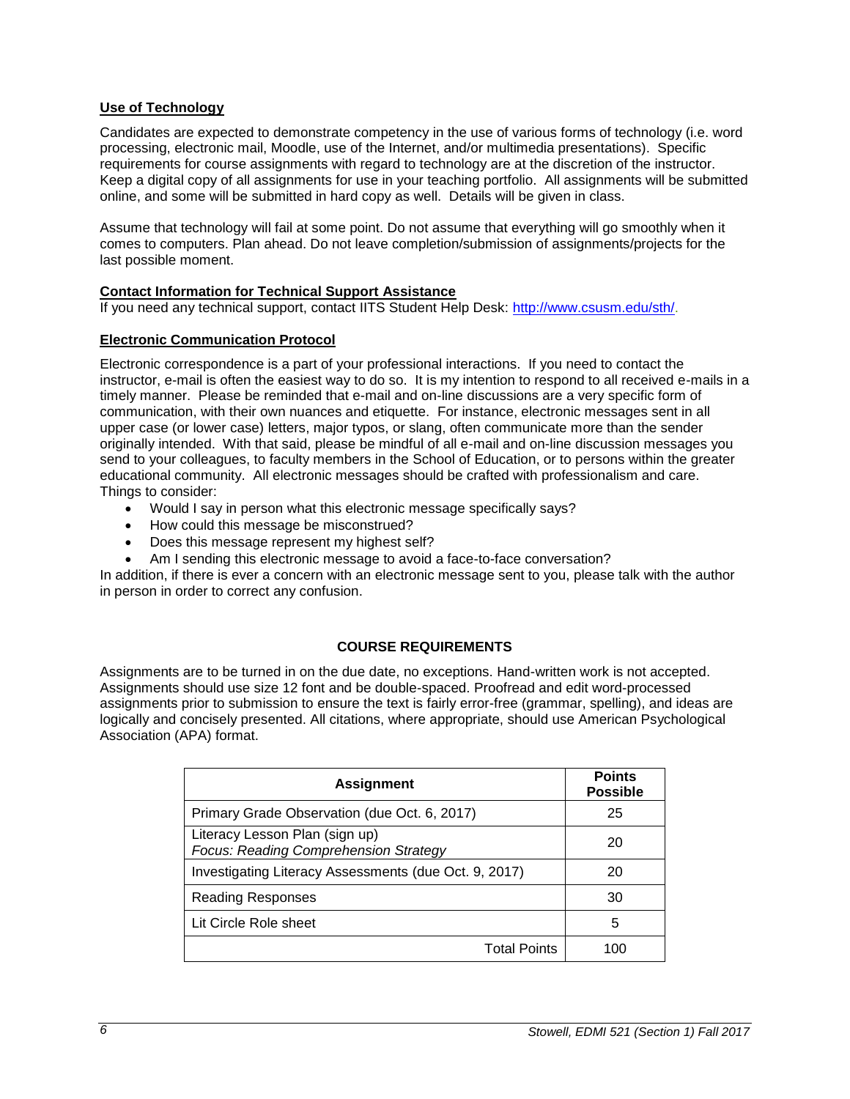# **Use of Technology**

Candidates are expected to demonstrate competency in the use of various forms of technology (i.e. word processing, electronic mail, Moodle, use of the Internet, and/or multimedia presentations). Specific requirements for course assignments with regard to technology are at the discretion of the instructor. Keep a digital copy of all assignments for use in your teaching portfolio. All assignments will be submitted online, and some will be submitted in hard copy as well. Details will be given in class.

Assume that technology will fail at some point. Do not assume that everything will go smoothly when it comes to computers. Plan ahead. Do not leave completion/submission of assignments/projects for the last possible moment.

### **Contact Information for Technical Support Assistance**

If you need any technical support, contact IITS Student Help Desk: [http://www.csusm.edu/sth/.](http://www.csusm.edu/sth/)

### **Electronic Communication Protocol**

Electronic correspondence is a part of your professional interactions. If you need to contact the instructor, e-mail is often the easiest way to do so. It is my intention to respond to all received e-mails in a timely manner. Please be reminded that e-mail and on-line discussions are a very specific form of communication, with their own nuances and etiquette. For instance, electronic messages sent in all upper case (or lower case) letters, major typos, or slang, often communicate more than the sender originally intended. With that said, please be mindful of all e-mail and on-line discussion messages you send to your colleagues, to faculty members in the School of Education, or to persons within the greater educational community. All electronic messages should be crafted with professionalism and care. Things to consider:

- Would I say in person what this electronic message specifically says?
- How could this message be misconstrued?
- Does this message represent my highest self?
- Am I sending this electronic message to avoid a face-to-face conversation?

In addition, if there is ever a concern with an electronic message sent to you, please talk with the author in person in order to correct any confusion.

### **COURSE REQUIREMENTS**

Assignments are to be turned in on the due date, no exceptions. Hand-written work is not accepted. Assignments should use size 12 font and be double-spaced. Proofread and edit word-processed assignments prior to submission to ensure the text is fairly error-free (grammar, spelling), and ideas are logically and concisely presented. All citations, where appropriate, should use American Psychological Association (APA) format.

| <b>Assignment</b>                                                              | <b>Points</b><br><b>Possible</b> |
|--------------------------------------------------------------------------------|----------------------------------|
| Primary Grade Observation (due Oct. 6, 2017)                                   | 25                               |
| Literacy Lesson Plan (sign up)<br><b>Focus: Reading Comprehension Strategy</b> | 20                               |
| Investigating Literacy Assessments (due Oct. 9, 2017)                          | 20                               |
| <b>Reading Responses</b>                                                       | 30                               |
| Lit Circle Role sheet                                                          | 5                                |
| <b>Total Points</b>                                                            | 100                              |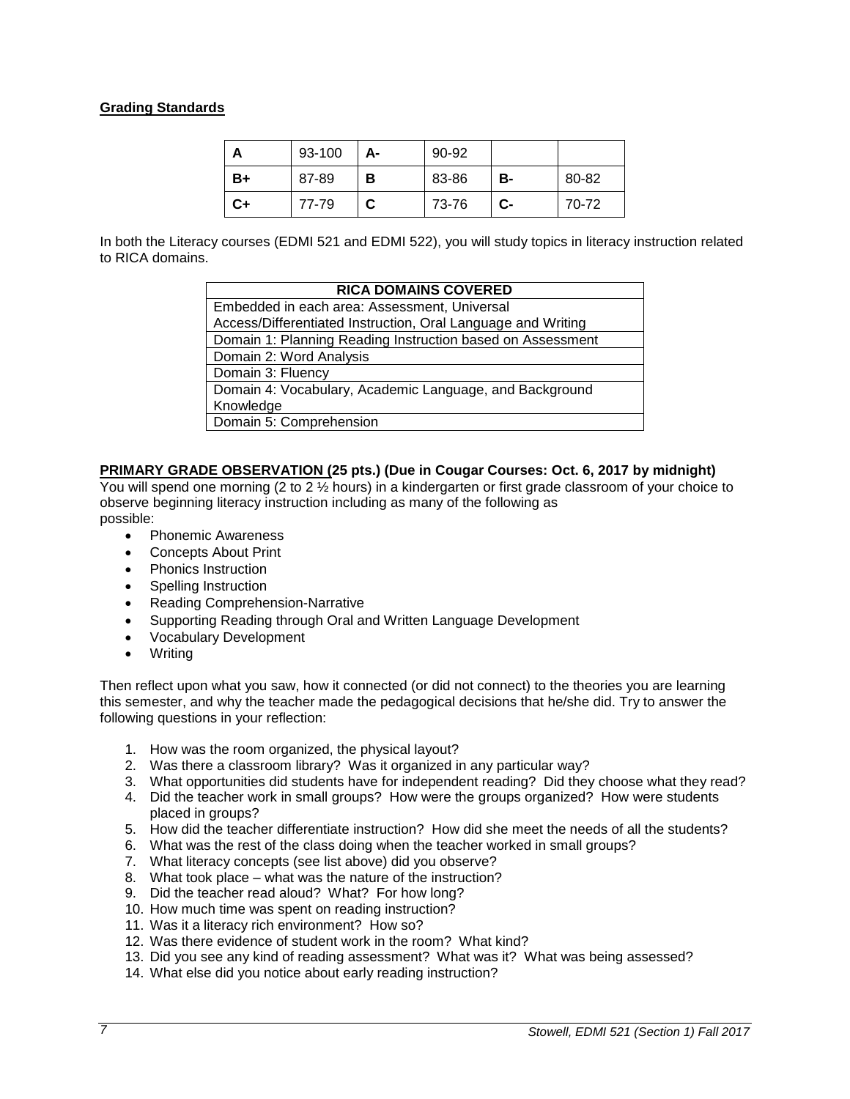# **Grading Standards**

|    | 93-100 | А- | 90-92 |    |       |
|----|--------|----|-------|----|-------|
| B+ | 87-89  | в  | 83-86 | в- | 80-82 |
| C+ | 77-79  | C  | 73-76 | C- | 70-72 |

In both the Literacy courses (EDMI 521 and EDMI 522), you will study topics in literacy instruction related to RICA domains.

| <b>RICA DOMAINS COVERED</b>                                  |
|--------------------------------------------------------------|
| Embedded in each area: Assessment, Universal                 |
| Access/Differentiated Instruction, Oral Language and Writing |
| Domain 1: Planning Reading Instruction based on Assessment   |
| Domain 2: Word Analysis                                      |
| Domain 3: Fluency                                            |
| Domain 4: Vocabulary, Academic Language, and Background      |
| Knowledge                                                    |
| Domain 5: Comprehension                                      |

# **PRIMARY GRADE OBSERVATION (25 pts.) (Due in Cougar Courses: Oct. 6, 2017 by midnight)**

You will spend one morning (2 to 2  $\frac{1}{2}$  hours) in a kindergarten or first grade classroom of your choice to observe beginning literacy instruction including as many of the following as possible:

- Phonemic Awareness
- Concepts About Print
- Phonics Instruction
- Spelling Instruction
- Reading Comprehension-Narrative
- Supporting Reading through Oral and Written Language Development
- Vocabulary Development
- Writing

Then reflect upon what you saw, how it connected (or did not connect) to the theories you are learning this semester, and why the teacher made the pedagogical decisions that he/she did. Try to answer the following questions in your reflection:

- 1. How was the room organized, the physical layout?
- 2. Was there a classroom library? Was it organized in any particular way?
- 3. What opportunities did students have for independent reading? Did they choose what they read?
- 4. Did the teacher work in small groups? How were the groups organized? How were students placed in groups?
- 5. How did the teacher differentiate instruction? How did she meet the needs of all the students?
- 6. What was the rest of the class doing when the teacher worked in small groups?
- 7. What literacy concepts (see list above) did you observe?
- 8. What took place what was the nature of the instruction?
- 9. Did the teacher read aloud? What? For how long?
- 10. How much time was spent on reading instruction?
- 11. Was it a literacy rich environment? How so?
- 12. Was there evidence of student work in the room? What kind?
- 13. Did you see any kind of reading assessment? What was it? What was being assessed?
- 14. What else did you notice about early reading instruction?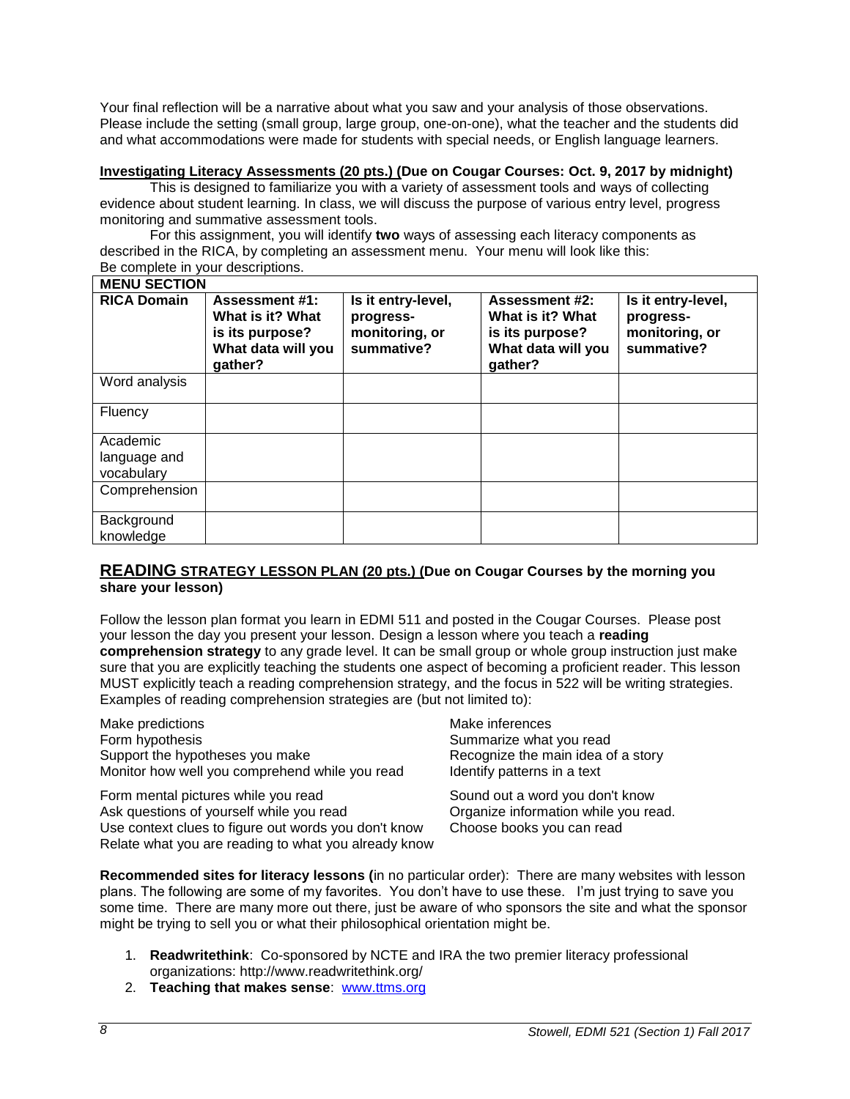Your final reflection will be a narrative about what you saw and your analysis of those observations. Please include the setting (small group, large group, one-on-one), what the teacher and the students did and what accommodations were made for students with special needs, or English language learners.

### **Investigating Literacy Assessments (20 pts.) (Due on Cougar Courses: Oct. 9, 2017 by midnight)**

This is designed to familiarize you with a variety of assessment tools and ways of collecting evidence about student learning. In class, we will discuss the purpose of various entry level, progress monitoring and summative assessment tools.

For this assignment, you will identify **two** ways of assessing each literacy components as described in the RICA, by completing an assessment menu. Your menu will look like this: Be complete in your descriptions.

| <b>MENU SECTION</b>                    |                                                                                               |                                                                 |                                                                                               |                                                                 |  |
|----------------------------------------|-----------------------------------------------------------------------------------------------|-----------------------------------------------------------------|-----------------------------------------------------------------------------------------------|-----------------------------------------------------------------|--|
| <b>RICA Domain</b>                     | <b>Assessment #1:</b><br>What is it? What<br>is its purpose?<br>What data will you<br>gather? | Is it entry-level,<br>progress-<br>monitoring, or<br>summative? | <b>Assessment #2:</b><br>What is it? What<br>is its purpose?<br>What data will you<br>gather? | Is it entry-level,<br>progress-<br>monitoring, or<br>summative? |  |
| Word analysis                          |                                                                                               |                                                                 |                                                                                               |                                                                 |  |
| Fluency                                |                                                                                               |                                                                 |                                                                                               |                                                                 |  |
| Academic<br>language and<br>vocabulary |                                                                                               |                                                                 |                                                                                               |                                                                 |  |
| Comprehension                          |                                                                                               |                                                                 |                                                                                               |                                                                 |  |
| Background<br>knowledge                |                                                                                               |                                                                 |                                                                                               |                                                                 |  |

#### **READING STRATEGY LESSON PLAN (20 pts.) (Due on Cougar Courses by the morning you share your lesson)**

Follow the lesson plan format you learn in EDMI 511 and posted in the Cougar Courses. Please post your lesson the day you present your lesson. Design a lesson where you teach a **reading comprehension strategy** to any grade level. It can be small group or whole group instruction just make sure that you are explicitly teaching the students one aspect of becoming a proficient reader. This lesson MUST explicitly teach a reading comprehension strategy, and the focus in 522 will be writing strategies. Examples of reading comprehension strategies are (but not limited to):

Make predictions and the matter of the Make inferences Form hypothesis<br>Support the hypotheses you make<br>Recognize the main idea o Monitor how well you comprehend while you read Identify patterns in a text Form mental pictures while you read Sound out a word you don't know

Ask questions of yourself while you read Organize information while you read. Use context clues to figure out words you don't know Choose books you can read Relate what you are reading to what you already know

Recognize the main idea of a story

**Recommended sites for literacy lessons (**in no particular order): There are many websites with lesson plans. The following are some of my favorites. You don't have to use these. I'm just trying to save you some time. There are many more out there, just be aware of who sponsors the site and what the sponsor might be trying to sell you or what their philosophical orientation might be.

- 1. **Readwritethink**: Co-sponsored by NCTE and IRA the two premier literacy professional organizations: http://www.readwritethink.org/
- 2. **Teaching that makes sense**: [www.ttms.org](http://www.ttms.org/)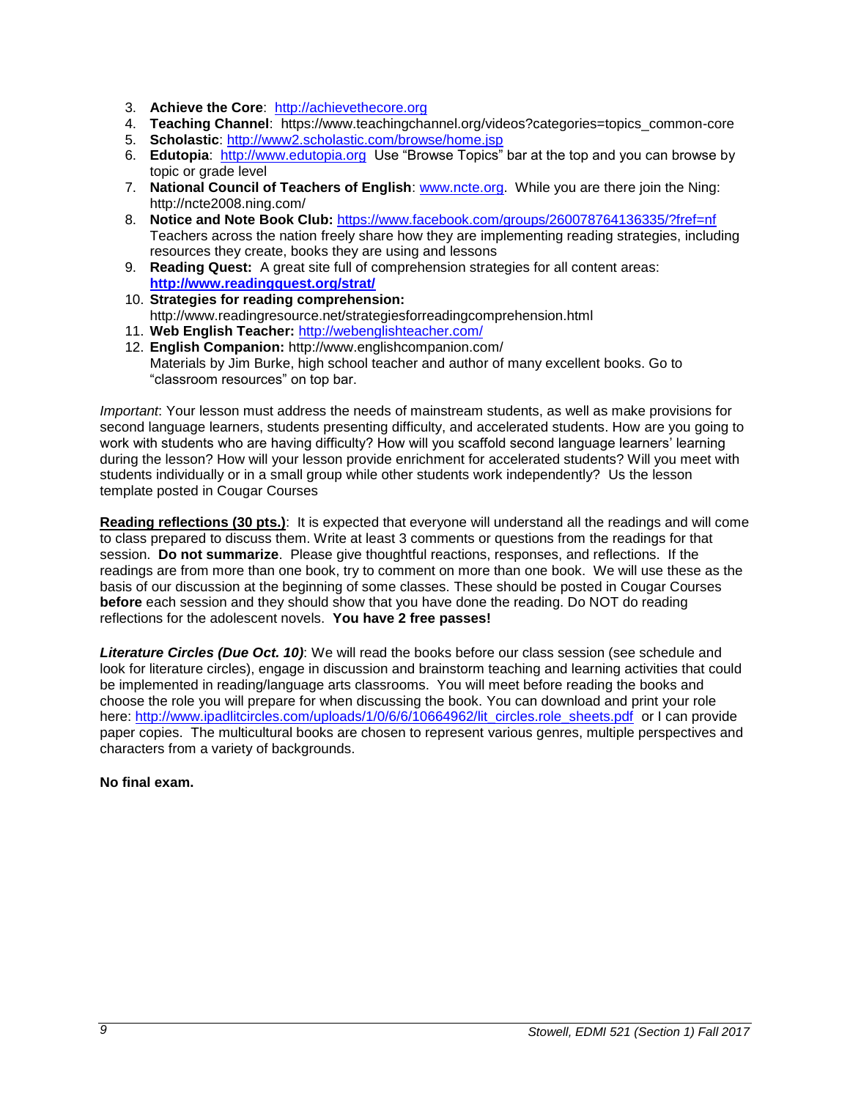- 3. **Achieve the Core**: [http://achievethecore.org](http://achievethecore.org/)
- 4. **Teaching Channel**: https://www.teachingchannel.org/videos?categories=topics\_common-core
- 5. **Scholastic**:<http://www2.scholastic.com/browse/home.jsp>
- 6. **Edutopia**: [http://www.edutopia.org](http://www.edutopia.org/) Use "Browse Topics" bar at the top and you can browse by topic or grade level
- 7. **National Council of Teachers of English**: [www.ncte.org.](http://www.ncte.org/) While you are there join the Ning: http://ncte2008.ning.com/
- 8. **Notice and Note Book Club:** <https://www.facebook.com/groups/260078764136335/?fref=nf> Teachers across the nation freely share how they are implementing reading strategies, including resources they create, books they are using and lessons
- 9. **Reading Quest:** A great site full of comprehension strategies for all content areas: **<http://www.readingquest.org/strat/>**
- 10. **Strategies for reading comprehension:** http://www.readingresource.net/strategiesforreadingcomprehension.html
- 11. **Web English Teacher:** <http://webenglishteacher.com/>
- 12. **English Companion:** http://www.englishcompanion.com/ Materials by Jim Burke, high school teacher and author of many excellent books. Go to "classroom resources" on top bar.

*Important*: Your lesson must address the needs of mainstream students, as well as make provisions for second language learners, students presenting difficulty, and accelerated students. How are you going to work with students who are having difficulty? How will you scaffold second language learners' learning during the lesson? How will your lesson provide enrichment for accelerated students? Will you meet with students individually or in a small group while other students work independently? Us the lesson template posted in Cougar Courses

**Reading reflections (30 pts.)**: It is expected that everyone will understand all the readings and will come to class prepared to discuss them. Write at least 3 comments or questions from the readings for that session. **Do not summarize**. Please give thoughtful reactions, responses, and reflections. If the readings are from more than one book, try to comment on more than one book. We will use these as the basis of our discussion at the beginning of some classes. These should be posted in Cougar Courses **before** each session and they should show that you have done the reading. Do NOT do reading reflections for the adolescent novels. **You have 2 free passes!**

*Literature Circles (Due Oct. 10)*: We will read the books before our class session (see schedule and look for literature circles), engage in discussion and brainstorm teaching and learning activities that could be implemented in reading/language arts classrooms. You will meet before reading the books and choose the role you will prepare for when discussing the book. You can download and print your role here: [http://www.ipadlitcircles.com/uploads/1/0/6/6/10664962/lit\\_circles.role\\_sheets.pdf](http://www.ipadlitcircles.com/uploads/1/0/6/6/10664962/lit_circles.role_sheets.pdf) or I can provide paper copies. The multicultural books are chosen to represent various genres, multiple perspectives and characters from a variety of backgrounds.

### **No final exam.**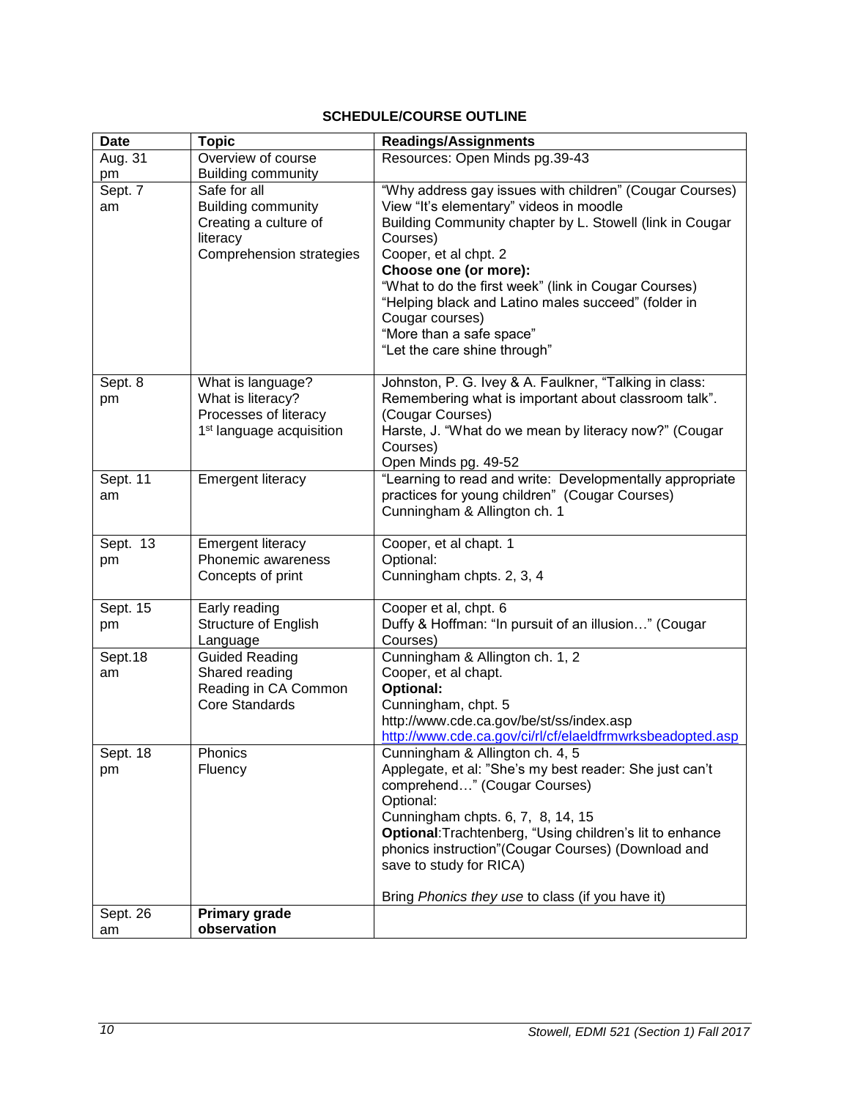# **SCHEDULE/COURSE OUTLINE**

| <b>Date</b> | <b>Topic</b>                         | Readings/Assignments                                                                                       |
|-------------|--------------------------------------|------------------------------------------------------------------------------------------------------------|
| Aug. 31     | Overview of course                   | Resources: Open Minds pg.39-43                                                                             |
| pm          | <b>Building community</b>            |                                                                                                            |
| Sept. 7     | Safe for all                         | "Why address gay issues with children" (Cougar Courses)                                                    |
| am          | <b>Building community</b>            | View "It's elementary" videos in moodle                                                                    |
|             | Creating a culture of                | Building Community chapter by L. Stowell (link in Cougar                                                   |
|             | literacy                             | Courses)                                                                                                   |
|             | Comprehension strategies             | Cooper, et al chpt. 2<br>Choose one (or more):                                                             |
|             |                                      | "What to do the first week" (link in Cougar Courses)                                                       |
|             |                                      | "Helping black and Latino males succeed" (folder in                                                        |
|             |                                      | Cougar courses)                                                                                            |
|             |                                      | "More than a safe space"                                                                                   |
|             |                                      | "Let the care shine through"                                                                               |
|             |                                      |                                                                                                            |
| Sept. 8     | What is language?                    | Johnston, P. G. Ivey & A. Faulkner, "Talking in class:                                                     |
| pm          | What is literacy?                    | Remembering what is important about classroom talk".                                                       |
|             | Processes of literacy                | (Cougar Courses)                                                                                           |
|             | 1 <sup>st</sup> language acquisition | Harste, J. "What do we mean by literacy now?" (Cougar                                                      |
|             |                                      | Courses)                                                                                                   |
|             |                                      | Open Minds pg. 49-52                                                                                       |
| Sept. 11    | <b>Emergent literacy</b>             | "Learning to read and write: Developmentally appropriate<br>practices for young children" (Cougar Courses) |
| am          |                                      | Cunningham & Allington ch. 1                                                                               |
|             |                                      |                                                                                                            |
| Sept. 13    | <b>Emergent literacy</b>             | Cooper, et al chapt. 1                                                                                     |
| pm          | Phonemic awareness                   | Optional:                                                                                                  |
|             | Concepts of print                    | Cunningham chpts. 2, 3, 4                                                                                  |
|             |                                      |                                                                                                            |
| Sept. 15    | Early reading                        | Cooper et al, chpt. 6                                                                                      |
| pm          | Structure of English                 | Duffy & Hoffman: "In pursuit of an illusion" (Cougar<br>Courses)                                           |
| Sept.18     | Language<br><b>Guided Reading</b>    | Cunningham & Allington ch. 1, 2                                                                            |
| am          | Shared reading                       | Cooper, et al chapt.                                                                                       |
|             | Reading in CA Common                 | Optional:                                                                                                  |
|             | <b>Core Standards</b>                | Cunningham, chpt. 5                                                                                        |
|             |                                      | http://www.cde.ca.gov/be/st/ss/index.asp                                                                   |
|             |                                      | http://www.cde.ca.gov/ci/rl/cf/elaeldfrmwrksbeadopted.asp                                                  |
| Sept. 18    | Phonics                              | Cunningham & Allington ch. 4, 5                                                                            |
| pm          | Fluency                              | Applegate, et al: "She's my best reader: She just can't                                                    |
|             |                                      | comprehend" (Cougar Courses)                                                                               |
|             |                                      | Optional:                                                                                                  |
|             |                                      | Cunningham chpts. 6, 7, 8, 14, 15<br>Optional: Trachtenberg, "Using children's lit to enhance              |
|             |                                      | phonics instruction"(Cougar Courses) (Download and                                                         |
|             |                                      | save to study for RICA)                                                                                    |
|             |                                      |                                                                                                            |
|             |                                      | Bring Phonics they use to class (if you have it)                                                           |
| Sept. 26    | <b>Primary grade</b>                 |                                                                                                            |
| am          | observation                          |                                                                                                            |